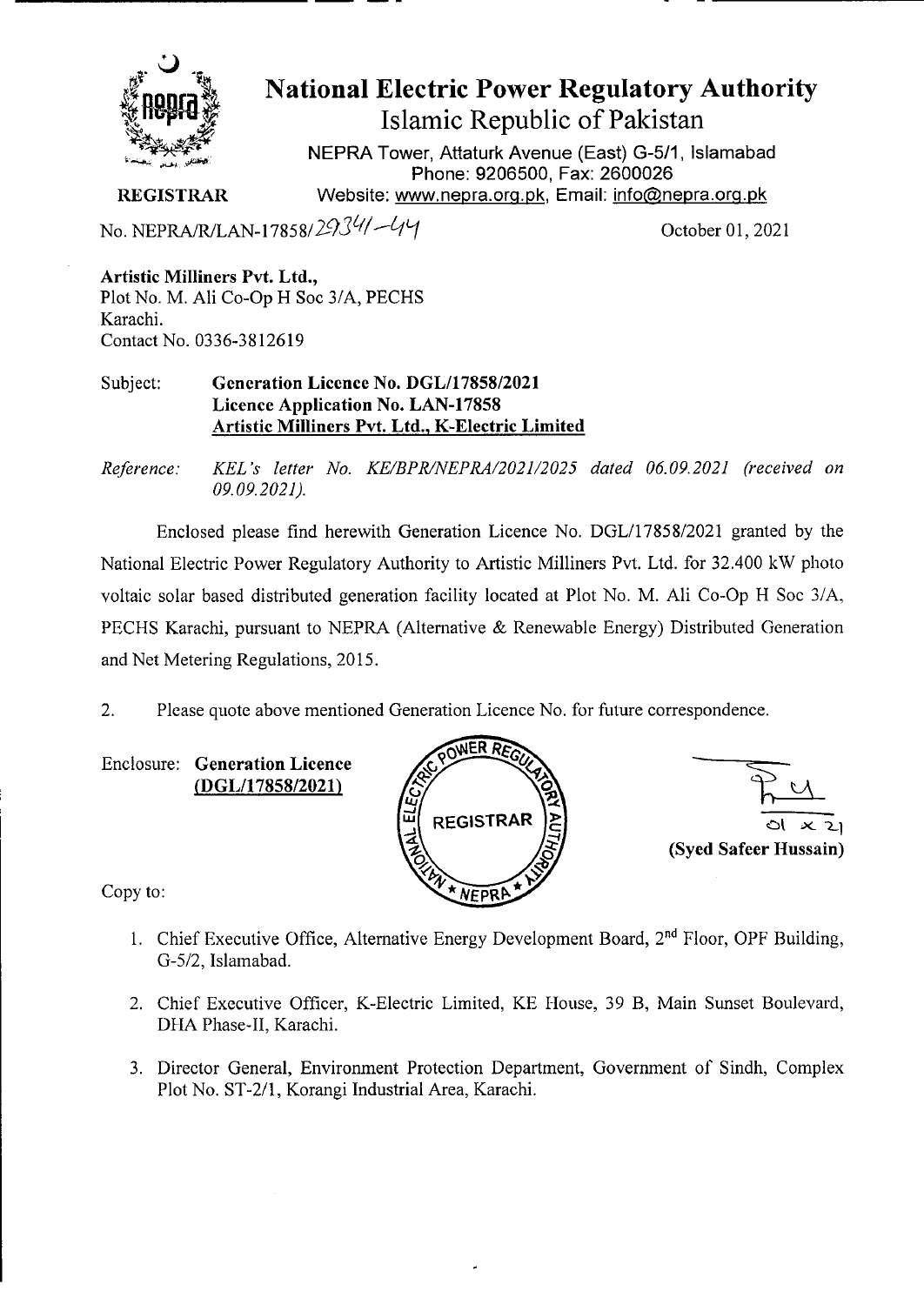

# **National Electric Power Regulatory Authority Islamic Republic of Pakistan**

**NEPRA Tower, Attaturk Avenue (East) G-5/1, Islamabad Phone: 9206500, Fax: 2600026**  Website: www.nepra.org.pk, Email: info@nepra.org.pk

**REGISTRAR** 

No. NEPRA/R/LAN-17858/2934/-44

**Artistic Milliners Pvt. Ltd.,**  Plot No. M. Ali Co-Op H Soc 3/A, PECHS Karachi. Contact No. 0336-3812619

Subject: **Generation Licence No. DGL/17858/2021 Licence Application No. LAN-17858 Artistic Milliners Pvt. Ltd., K-Electric Limited** 

*Reference: KEL 's let icr No. KE/BPR/NEPRA/2021/2025 dated 06.09.2021 ('received on 09.09.2021).* 

Enclosed please find herewith Generation Licence No. DGL/1785 8/2021 granted by the National Electric Power Regulatory Authority to Artistic Milliners Pvt. Ltd. for 32.400 kW photo voltaic solar based distributed generation facility located at Plot No. M. Ali Co-Op H Soc 3/A, PECHS Karachi, pursuant to NEPRA (Alternative & Renewable Energy) Distributed Generation and Net Metering Regulations, 2015.

2. Please quote above mentioned Generation Licence No. for future correspondence.

Enclosure: **Generation Licence (DGL/17858/2021)** 





Copy to:

- 1. Chief Executive Office, Alternative Energy Development Board, 2nd Floor, OPF Building, G-5/2, Islamabad.
- 2. Chief Executive Officer, K-Electric Limited, KE House, 39 B, Main Sunset Boulevard, DHA Phase-Il, Karachi.
- 3. Director General, Environment Protection Department, Government of Sindh, Complex Plot No. ST-2/1, Korangi Industrial Area, Karachi.